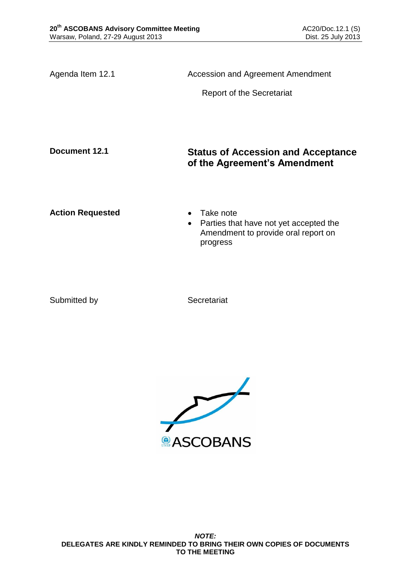Agenda Item 12.1 **Accession and Agreement Amendment** Report of the Secretariat **Document 12.1 Status of Accession and Acceptance of the Agreement's Amendment** Action Requested **Canadian Exercise Action Requested Canadian Exercise** • Parties that have not yet accepted the Amendment to provide oral report on progress

Submitted by Secretariat

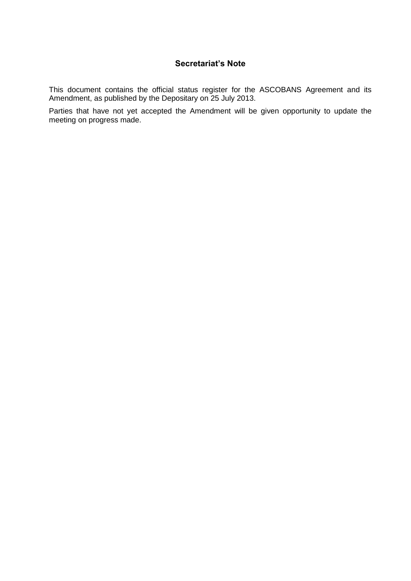# **Secretariat's Note**

This document contains the official status register for the ASCOBANS Agreement and its Amendment, as published by the Depositary on 25 July 2013.

Parties that have not yet accepted the Amendment will be given opportunity to update the meeting on progress made.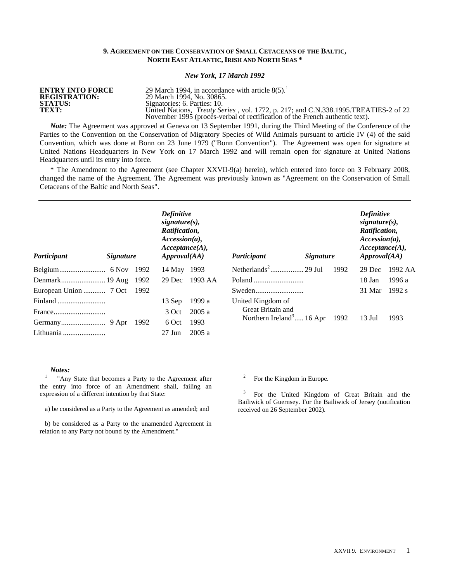# **9. AGREEMENT ON THE CONSERVATION OF SMALL CETACEANS OF THE BALTIC, NORTH EAST ATLANTIC, IRISH AND NORTH SEAS \***

## *New York, 17 March 1992*

**ENTRY INTO FORCE ENTRY INTO FORCE** 29 March 1994, in accordance with article 8(5).<sup>1</sup><br>**REGISTRATION:** 29 March 1994, No. 30865. **REGISTRATION:** 29 March 1994, No. 30865.<br>**STATUS:** Signatories: 6. Parties: 10. **STATUS:**  $\overline{S}$ :  $\overline{S}$ :  $\overline{S}$ :  $\overline{S}$ :  $\overline{S}$ :  $\overline{S}$ :  $\overline{S}$ :  $\overline{S}$ :  $\overline{S}$ :  $\overline{S}$ :  $\overline{S}$ :  $\overline{S}$ :  $\overline{S}$ :  $\overline{S}$ :  $\overline{S}$ :  $\overline{S}$ :  $\overline{S}$ :  $\overline{S}$ :  $\overline{S}$ :  $\overline{S}$ :  $\overline{S}$ :  $\$ **TEXT:** United Nations, *Treaty Series* , vol. 1772, p. 217; and C.N.338.1995.TREATIES-2 of 22 November 1995 (procès-verbal of rectification of the French authentic text).

*Note:* The Agreement was approved at Geneva on 13 September 1991, during the Third Meeting of the Conference of the Parties to the Convention on the Conservation of Migratory Species of Wild Animals pursuant to article IV (4) of the said Convention, which was done at Bonn on 23 June 1979 ("Bonn Convention"). The Agreement was open for signature at United Nations Headquarters in New York on 17 March 1992 and will remain open for signature at United Nations Headquarters until its entry into force.

\* The Amendment to the Agreement (see Chapter XXVII-9(a) herein), which entered into force on 3 February 2008, changed the name of the Agreement. The Agreement was previously known as "Agreement on the Conservation of Small Cetaceans of the Baltic and North Seas".

| Participant | <i>Signature</i> |      | <b>Definitive</b><br>$signature(s)$ ,<br>Ratification,<br>$Accession(a)$ ,<br>Acceptance(A),<br>$A$ <i>pproval</i> $(AA)$ |         | Participant                          | <i>Signature</i> |      | <b>Definitive</b><br>$signature(s)$ ,<br>Ratification,<br>$Accession(a)$ ,<br>Acceptance(A),<br>$A$ <i>pproval</i> $(AA)$ |         |
|-------------|------------------|------|---------------------------------------------------------------------------------------------------------------------------|---------|--------------------------------------|------------------|------|---------------------------------------------------------------------------------------------------------------------------|---------|
|             |                  | 1992 | 14 May                                                                                                                    | 1993    |                                      |                  | 1992 | 29 Dec                                                                                                                    | 1992 AA |
|             |                  | 1992 | 29 Dec                                                                                                                    | 1993 AA |                                      |                  |      | 18 Jan                                                                                                                    | 1996 a  |
|             |                  |      |                                                                                                                           |         |                                      |                  |      | 31 Mar                                                                                                                    | 1992 s  |
| Finland     |                  |      | 13 Sep                                                                                                                    | 1999 a  | United Kingdom of                    |                  |      |                                                                                                                           |         |
| France      |                  |      | 3 Oct                                                                                                                     | 2005a   | Great Britain and                    |                  |      |                                                                                                                           |         |
|             |                  | 1992 | 6 Oct                                                                                                                     | 1993    | Northern Ireland <sup>3</sup> 16 Apr |                  | 1992 | $13$ Jul                                                                                                                  | 1993    |
| Lithuania   |                  |      | $27$ Jun                                                                                                                  | 2005a   |                                      |                  |      |                                                                                                                           |         |

#### *Notes:*

<sup>1</sup> "Any State that becomes a Party to the Agreement after the entry into force of an Amendment shall, failing an expression of a different intention by that State:

a) be considered as a Party to the Agreement as amended; and

 b) be considered as a Party to the unamended Agreement in relation to any Party not bound by the Amendment."

<sup>2</sup> For the Kingdom in Europe.

<sup>3</sup> For the United Kingdom of Great Britain and the Bailiwick of Guernsey. For the Bailiwick of Jersey (notification received on 26 September 2002).